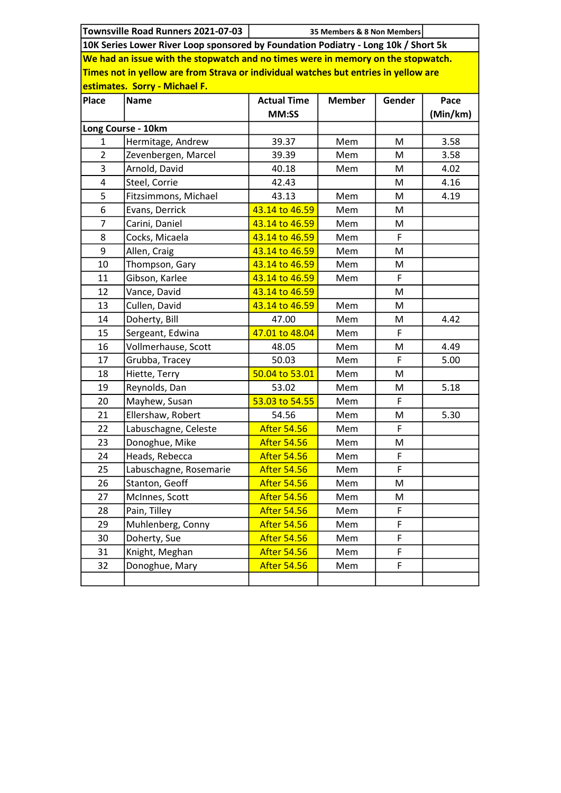|                                                                                     | Townsville Road Runners 2021-07-03 | 35 Members & 8 Non Members |               |        |          |  |  |  |  |
|-------------------------------------------------------------------------------------|------------------------------------|----------------------------|---------------|--------|----------|--|--|--|--|
| 10K Series Lower River Loop sponsored by Foundation Podiatry - Long 10k / Short 5k  |                                    |                            |               |        |          |  |  |  |  |
| We had an issue with the stopwatch and no times were in memory on the stopwatch.    |                                    |                            |               |        |          |  |  |  |  |
| Times not in yellow are from Strava or individual watches but entries in yellow are |                                    |                            |               |        |          |  |  |  |  |
| estimates. Sorry - Michael F.                                                       |                                    |                            |               |        |          |  |  |  |  |
| <b>Place</b>                                                                        | <b>Name</b>                        | <b>Actual Time</b>         | <b>Member</b> | Gender | Pace     |  |  |  |  |
|                                                                                     |                                    | MM:SS                      |               |        | (Min/km) |  |  |  |  |
| Long Course - 10km                                                                  |                                    |                            |               |        |          |  |  |  |  |
| 1                                                                                   | Hermitage, Andrew                  | 39.37                      | Mem           | М      | 3.58     |  |  |  |  |
| $\overline{2}$                                                                      | Zevenbergen, Marcel                | 39.39                      | Mem           | M      | 3.58     |  |  |  |  |
| 3                                                                                   | Arnold, David                      | 40.18                      | Mem           | M      | 4.02     |  |  |  |  |
| $\overline{\mathbf{4}}$                                                             | Steel, Corrie                      | 42.43                      |               | M      | 4.16     |  |  |  |  |
| 5                                                                                   | Fitzsimmons, Michael               | 43.13                      | Mem           | M      | 4.19     |  |  |  |  |
| 6                                                                                   | Evans, Derrick                     | 43.14 to 46.59             | Mem           | M      |          |  |  |  |  |
| $\overline{7}$                                                                      | Carini, Daniel                     | 43.14 to 46.59             | Mem           | M      |          |  |  |  |  |
| 8                                                                                   | Cocks, Micaela                     | 43.14 to 46.59             | Mem           | F      |          |  |  |  |  |
| 9                                                                                   | Allen, Craig                       | 43.14 to 46.59             | Mem           | M      |          |  |  |  |  |
| 10                                                                                  | Thompson, Gary                     | 43.14 to 46.59             | Mem           | M      |          |  |  |  |  |
| 11                                                                                  | Gibson, Karlee                     | 43.14 to 46.59             | Mem           | F      |          |  |  |  |  |
| 12                                                                                  | Vance, David                       | 43.14 to 46.59             |               | M      |          |  |  |  |  |
| 13                                                                                  | Cullen, David                      | 43.14 to 46.59             | Mem           | M      |          |  |  |  |  |
| 14                                                                                  | Doherty, Bill                      | 47.00                      | Mem           | M      | 4.42     |  |  |  |  |
| 15                                                                                  | Sergeant, Edwina                   | 47.01 to 48.04             | Mem           | F.     |          |  |  |  |  |
| 16                                                                                  | Vollmerhause, Scott                | 48.05                      | Mem           | M      | 4.49     |  |  |  |  |
| 17                                                                                  | Grubba, Tracey                     | 50.03                      | Mem           | F      | 5.00     |  |  |  |  |
| 18                                                                                  | Hiette, Terry                      | 50.04 to 53.01             | Mem           | M      |          |  |  |  |  |
| 19                                                                                  | Reynolds, Dan                      | 53.02                      | Mem           | M      | 5.18     |  |  |  |  |
| 20                                                                                  | Mayhew, Susan                      | 53.03 to 54.55             | Mem           | F      |          |  |  |  |  |
| 21                                                                                  | Ellershaw, Robert                  | 54.56                      | Mem           | M      | 5.30     |  |  |  |  |
| 22                                                                                  | Labuschagne, Celeste               | <b>After 54.56</b>         | Mem           | F      |          |  |  |  |  |
| 23                                                                                  | Donoghue, Mike                     | <b>After 54.56</b>         | Mem           | M      |          |  |  |  |  |
| 24                                                                                  | Heads, Rebecca                     | <b>After 54.56</b>         | Mem           | F      |          |  |  |  |  |
| 25                                                                                  | Labuschagne, Rosemarie             | <b>After 54.56</b>         | Mem           | F      |          |  |  |  |  |
| 26                                                                                  | Stanton, Geoff                     | <b>After 54.56</b>         | Mem           | M      |          |  |  |  |  |
| 27                                                                                  | McInnes, Scott                     | <b>After 54.56</b>         | Mem           | M      |          |  |  |  |  |
| 28                                                                                  | Pain, Tilley                       | <b>After 54.56</b>         | Mem           | F      |          |  |  |  |  |
| 29                                                                                  | Muhlenberg, Conny                  | <b>After 54.56</b>         | Mem           | F      |          |  |  |  |  |
| 30                                                                                  | Doherty, Sue                       | <b>After 54.56</b>         | Mem           | F      |          |  |  |  |  |
| 31                                                                                  | Knight, Meghan                     | <b>After 54.56</b>         | Mem           | F      |          |  |  |  |  |
| 32                                                                                  | Donoghue, Mary                     | <b>After 54.56</b>         | Mem           | F      |          |  |  |  |  |
|                                                                                     |                                    |                            |               |        |          |  |  |  |  |